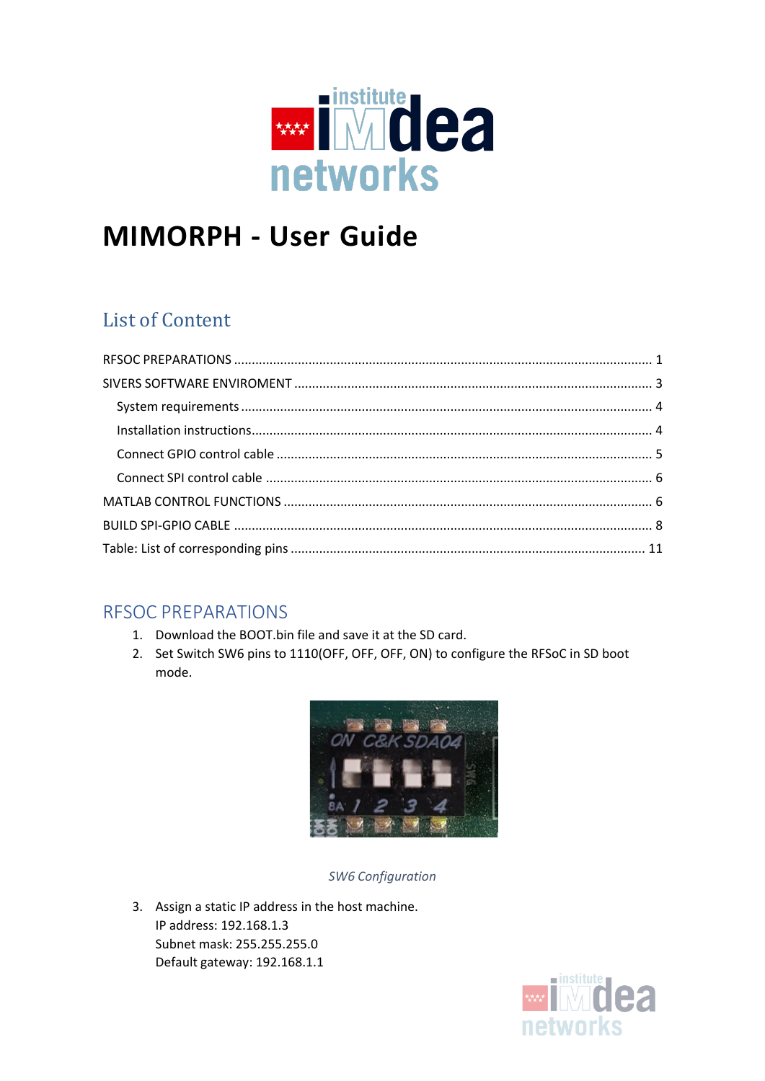

# **MIMORPH - User Guide**

# List of Content

## <span id="page-0-0"></span>RFSOC PREPARATIONS

- 1. Download the BOOT.bin file and save it at the SD card.
- 2. Set Switch SW6 pins to 1110(OFF, OFF, OFF, ON) to configure the RFSoC in SD boot mode.



#### *SW6 Configuration*

3. Assign a static IP address in the host machine. IP address: 192.168.1.3 Subnet mask: 255.255.255.0 Default gateway: 192.168.1.1

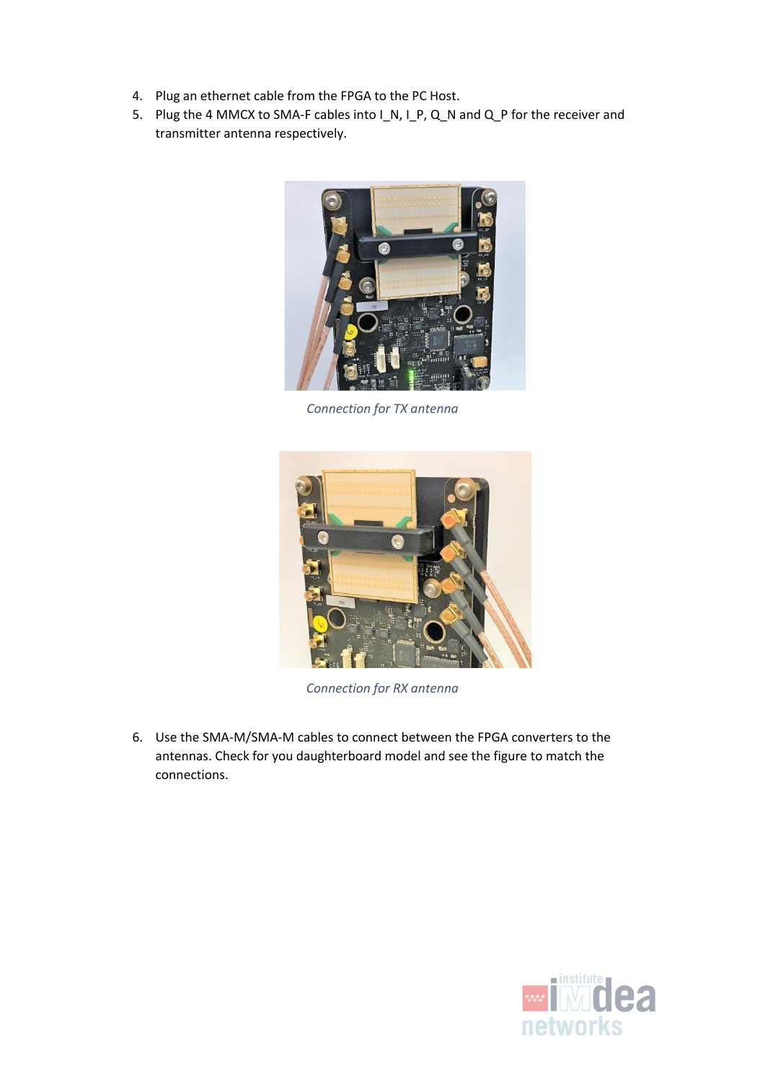- 4. Plug an ethernet cable from the FPGA to the PC Host.
- 5. Plug the 4 MMCX to SMA-F cables into I\_N, I\_P, Q\_N and Q\_P for the receiver and transmitter antenna respectively.



*Connection for TX antenna*



*Connection for RX antenna*

6. Use the SMA-M/SMA-M cables to connect between the FPGA converters to the antennas. Check for you daughterboard model and see the figure to match the connections.

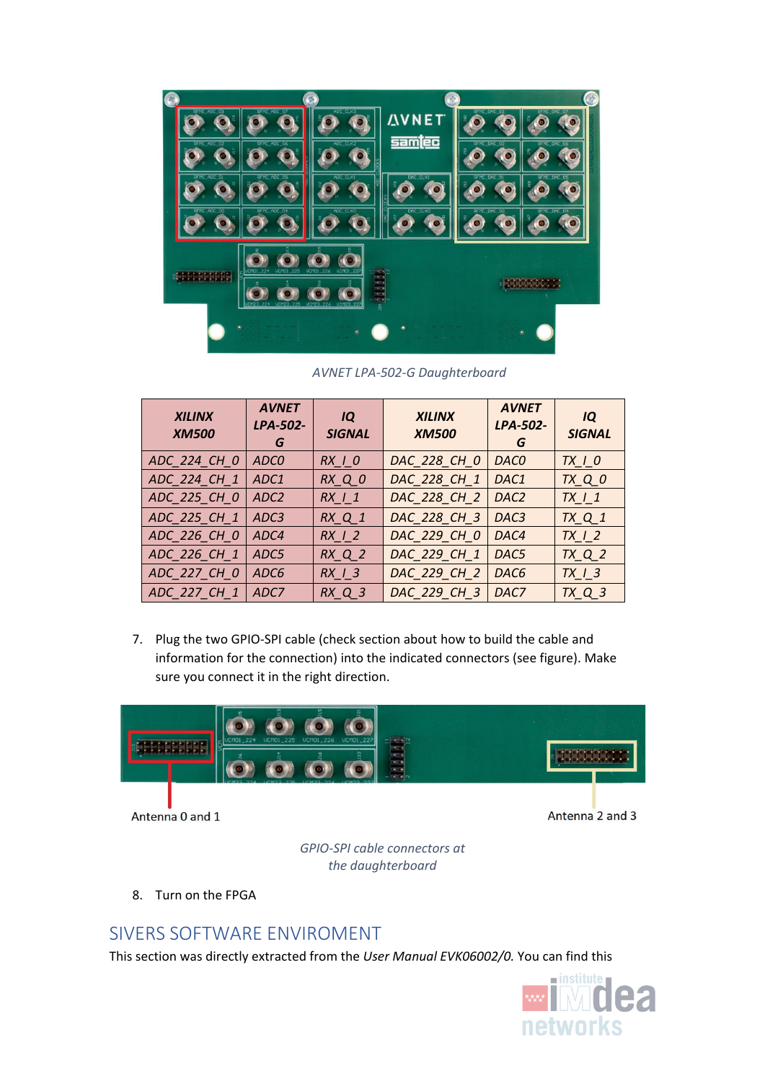

*AVNET LPA-502-G Daughterboard*

| <b>XILINX</b><br><b>XM500</b> | <b>AVNET</b><br>LPA-502-<br>G | IQ<br><b>SIGNAL</b> | <b>XILINX</b><br><b>XM500</b> | <b>AVNET</b><br>LPA-502-<br>G | IQ<br><b>SIGNAL</b> |
|-------------------------------|-------------------------------|---------------------|-------------------------------|-------------------------------|---------------------|
| ADC 224 CH 0                  | ADC <sub>0</sub>              | RX 10               | DAC 228 CH 0                  | DAC <sub>0</sub>              | $TX$   $O$          |
| ADC 224 CH 1                  | ADC1                          | $RX_Q_0$            | DAC 228 CH 1                  | DAC1                          | $TX_Q_0$            |
| ADC_225_CH_0                  | ADC <sub>2</sub>              | RX 1 1              | DAC 228 CH 2                  | DAC <sub>2</sub>              | $TX$ / 1            |
| ADC 225 CH 1                  | ADC3                          | RX Q 1              | DAC 228 CH 3                  | DAC <sub>3</sub>              | TX Q 1              |
| ADC 226 CH 0                  | ADC4                          | $RX$ $12$           | DAC 229 CH 0                  | DAC4                          | $TX$ / 2            |
| ADC 226 CH 1                  | ADC5                          | $RX$ Q 2            | DAC 229 CH 1                  | DAC5                          | TX Q 2              |
| ADC 227 CH 0                  | ADC6                          | RX 13               | DAC 229 CH 2                  | DAC <sub>6</sub>              | $TX$   3            |
| ADC 227 CH 1                  | ADC7                          | $RX$ Q 3            | DAC 229 CH 3                  | DAC7                          | TXQ3                |

7. Plug the two GPIO-SPI cable (check section about how to build the cable and information for the connection) into the indicated connectors (see figure). Make sure you connect it in the right direction.



*GPIO-SPI cable connectors at the daughterboard*

8. Turn on the FPGA

# <span id="page-2-0"></span>SIVERS SOFTWARE ENVIROMENT

This section was directly extracted from the *User Manual EVK06002/0.* You can find this

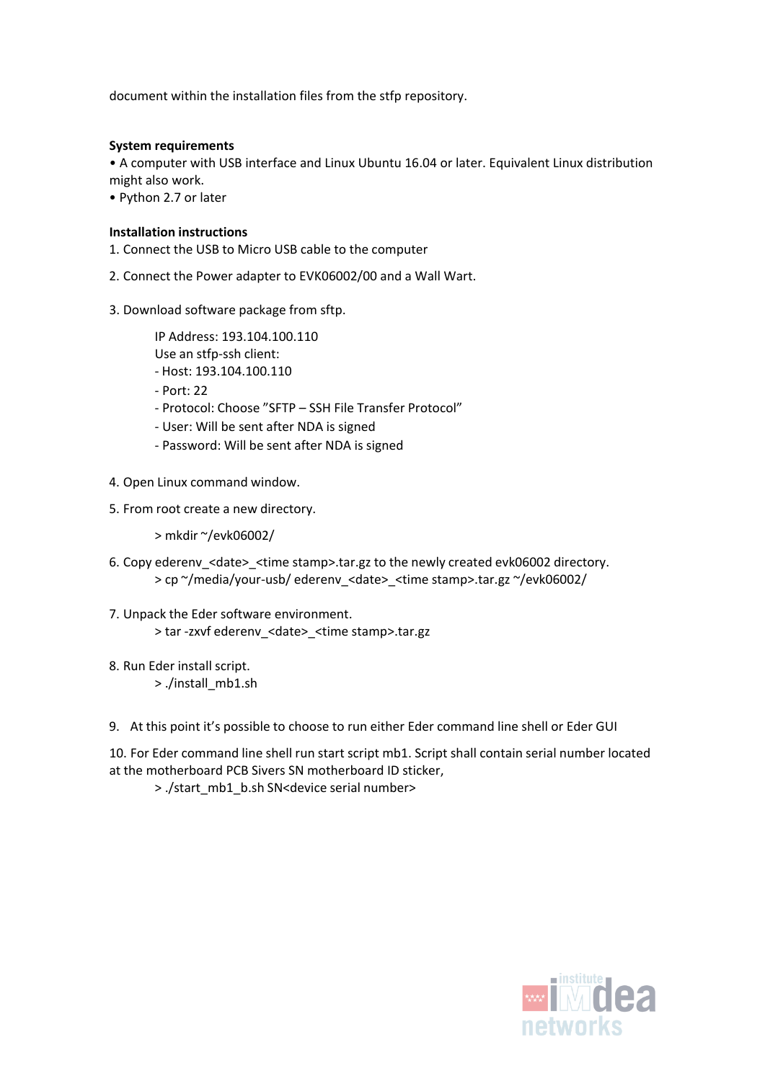document within the installation files from the stfp repository.

#### <span id="page-3-0"></span>**System requirements**

• A computer with USB interface and Linux Ubuntu 16.04 or later. Equivalent Linux distribution might also work.

• Python 2.7 or later

#### <span id="page-3-1"></span>**Installation instructions**

- 1. Connect the USB to Micro USB cable to the computer
- 2. Connect the Power adapter to EVK06002/00 and a Wall Wart.
- 3. Download software package from sftp.
	- IP Address: 193.104.100.110
	- Use an stfp-ssh client:
	- Host: 193.104.100.110
	- $-$  Port: 22
	- Protocol: Choose "SFTP SSH File Transfer Protocol"
	- User: Will be sent after NDA is signed
	- Password: Will be sent after NDA is signed
- 4. Open Linux command window.
- 5. From root create a new directory.
	- > mkdir ~/evk06002/
- 6. Copy ederenv\_<date>\_<time stamp>.tar.gz to the newly created evk06002 directory. > cp ~/media/your-usb/ ederenv\_<date>\_<time stamp>.tar.gz ~/evk06002/
- 7. Unpack the Eder software environment. > tar -zxvf ederenv\_<date>\_<time stamp>.tar.gz
- 8. Run Eder install script. > ./install\_mb1.sh
- 9. At this point it's possible to choose to run either Eder command line shell or Eder GUI

10. For Eder command line shell run start script mb1. Script shall contain serial number located at the motherboard PCB Sivers SN motherboard ID sticker,

> ./start\_mb1\_b.sh SN<device serial number>

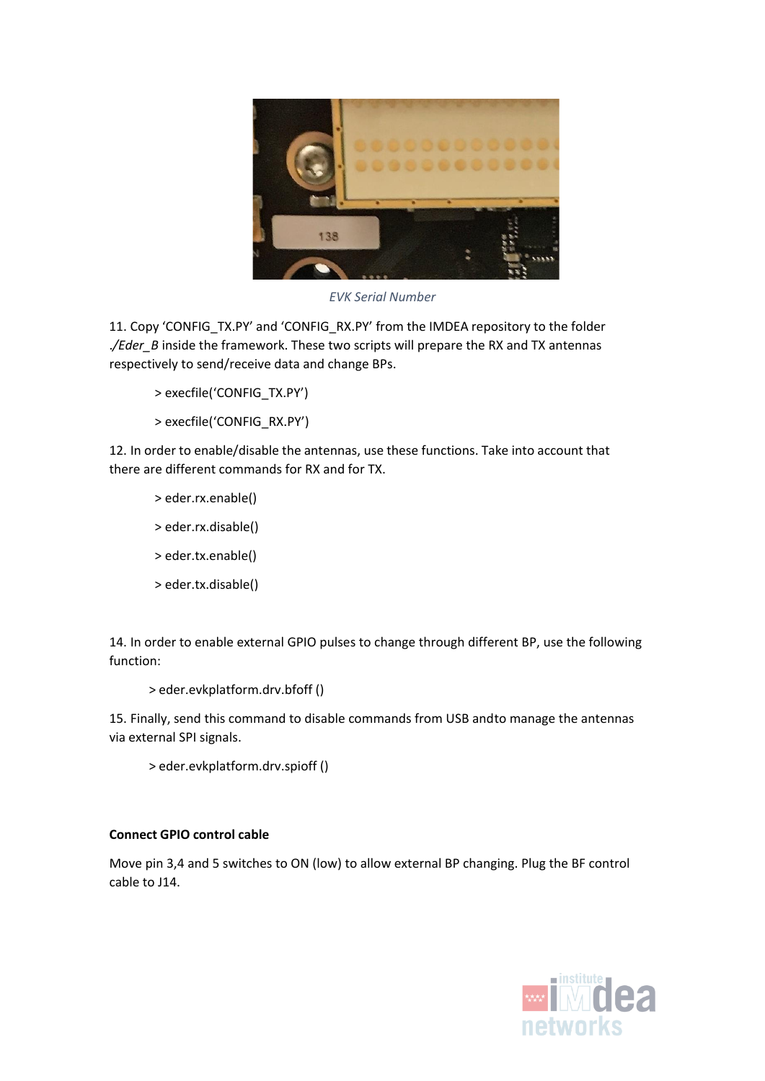

*EVK Serial Number*

11. Copy 'CONFIG\_TX.PY' and 'CONFIG\_RX.PY' from the IMDEA repository to the folder .*/Eder\_B* inside the framework. These two scripts will prepare the RX and TX antennas respectively to send/receive data and change BPs.

> execfile('CONFIG\_TX.PY')

> execfile('CONFIG\_RX.PY')

12. In order to enable/disable the antennas, use these functions. Take into account that there are different commands for RX and for TX.

- > eder.rx.enable()
- > eder.rx.disable()
- > eder.tx.enable()
- > eder.tx.disable()

14. In order to enable external GPIO pulses to change through different BP, use the following function:

```
> eder.evkplatform.drv.bfoff ()
```
15. Finally, send this command to disable commands from USB andto manage the antennas via external SPI signals.

> eder.evkplatform.drv.spioff ()

#### <span id="page-4-0"></span>**Connect GPIO control cable**

Move pin 3,4 and 5 switches to ON (low) to allow external BP changing. Plug the BF control cable to J14.

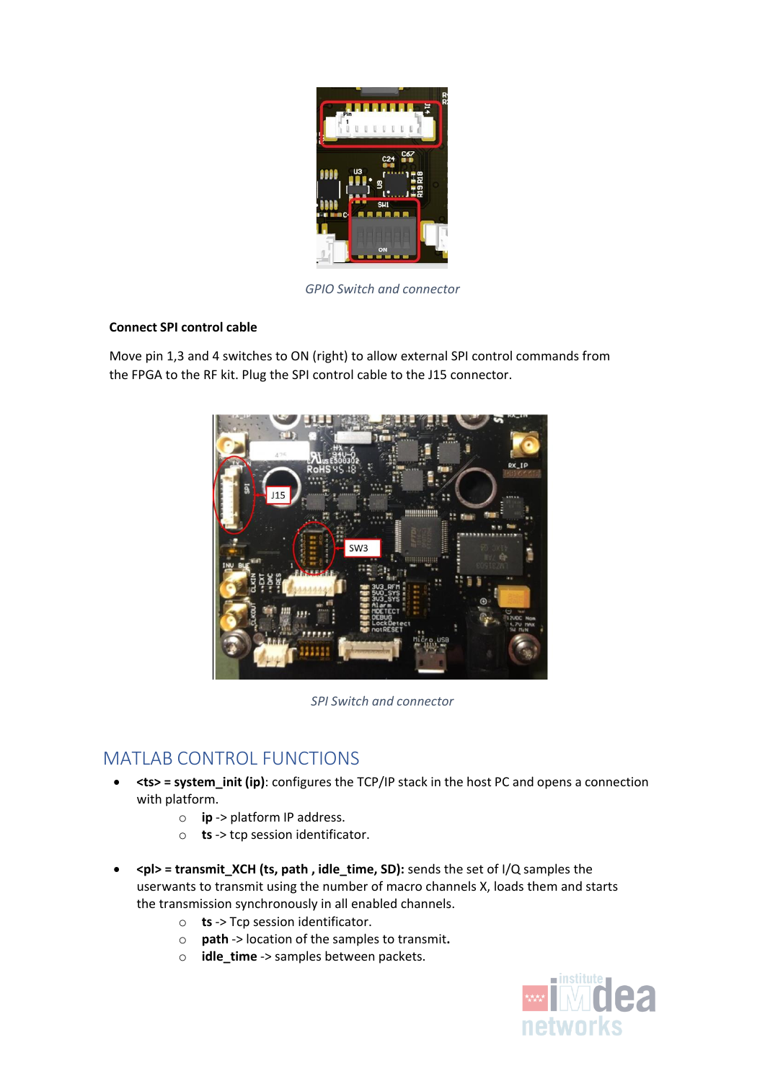

*GPIO Switch and connector*

#### <span id="page-5-0"></span>**Connect SPI control cable**

Move pin 1,3 and 4 switches to ON (right) to allow external SPI control commands from the FPGA to the RF kit. Plug the SPI control cable to the J15 connector.



*SPI Switch and connector*

# <span id="page-5-1"></span>MATLAB CONTROL FUNCTIONS

- **<ts> = system\_init (ip)**: configures the TCP/IP stack in the host PC and opens a connection with platform.
	- o **ip** -> platform IP address.
	- o **ts** -> tcp session identificator.
- **<pl> = transmit\_XCH (ts, path , idle\_time, SD):** sends the set of I/Q samples the userwants to transmit using the number of macro channels X, loads them and starts the transmission synchronously in all enabled channels.
	- o **ts** -> Tcp session identificator.
	- o **path** -> location of the samples to transmit**.**
	- o **idle\_time** -> samples between packets.

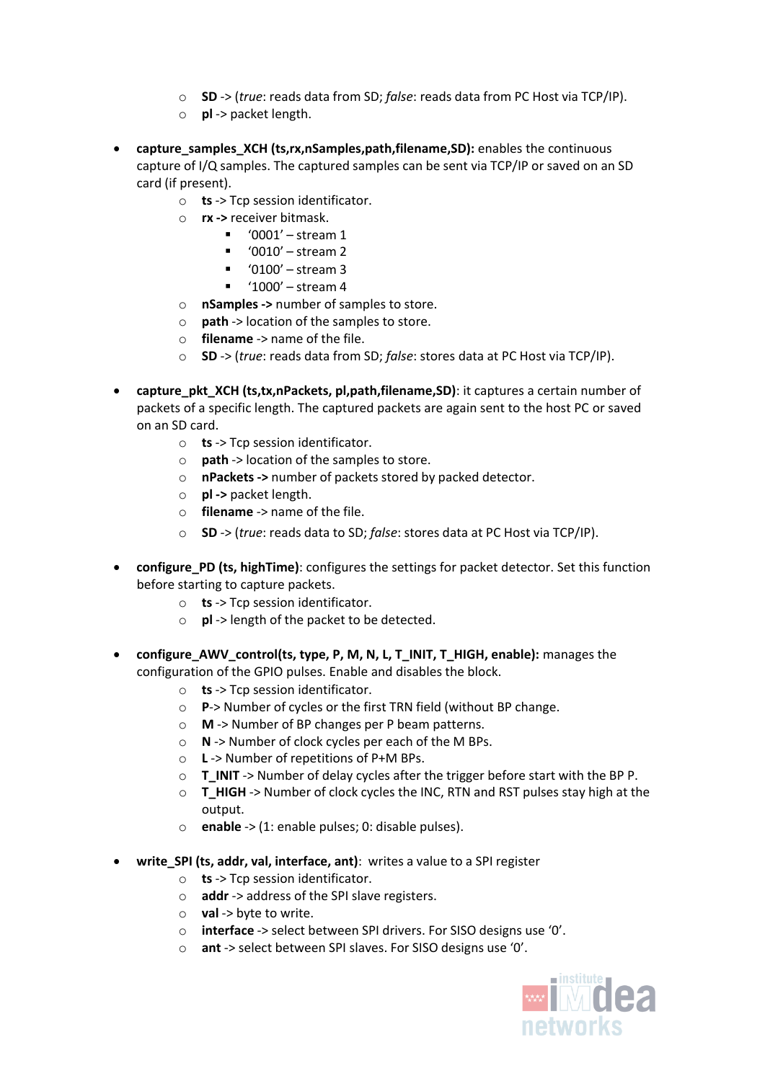- o **SD** -> (*true*: reads data from SD; *false*: reads data from PC Host via TCP/IP).
- o **pl** -> packet length.
- **capture\_samples\_XCH (ts,rx,nSamples,path,filename,SD):** enables the continuous capture of I/Q samples. The captured samples can be sent via TCP/IP or saved on an SD card (if present).
	- o **ts** -> Tcp session identificator.
	- o **rx ->** receiver bitmask.
		- $\blacksquare$  '0001' stream 1
		- '0010' stream 2
		- '0100' stream 3
		- $1000' -$  stream 4
	- o **nSamples ->** number of samples to store.
	- o **path** -> location of the samples to store.
	- o **filename** -> name of the file.
	- o **SD** -> (*true*: reads data from SD; *false*: stores data at PC Host via TCP/IP).
- **capture pkt XCH (ts,tx,nPackets, pl,path,filename,SD)**: it captures a certain number of packets of a specific length. The captured packets are again sent to the host PC or saved on an SD card.
	- o **ts** -> Tcp session identificator.
	- o **path** -> location of the samples to store.
	- o **nPackets ->** number of packets stored by packed detector.
	- o **pl ->** packet length.
	- o **filename** -> name of the file.
	- o **SD** -> (*true*: reads data to SD; *false*: stores data at PC Host via TCP/IP).
- **configure PD (ts, highTime)**: configures the settings for packet detector. Set this function before starting to capture packets.
	- o **ts** -> Tcp session identificator.
	- o **pl** -> length of the packet to be detected.
- **configure\_AWV\_control(ts, type, P, M, N, L, T\_INIT, T\_HIGH, enable):** manages the configuration of the GPIO pulses. Enable and disables the block.
	- o **ts** -> Tcp session identificator.
	- o **P**-> Number of cycles or the first TRN field (without BP change.
	- o **M** -> Number of BP changes per P beam patterns.
	- o **N** -> Number of clock cycles per each of the M BPs.
	- o **L** -> Number of repetitions of P+M BPs.
	- o **T\_INIT** -> Number of delay cycles after the trigger before start with the BP P.
	- o **T\_HIGH** -> Number of clock cycles the INC, RTN and RST pulses stay high at the output.
	- o **enable** -> (1: enable pulses; 0: disable pulses).
- **write\_SPI (ts, addr, val, interface, ant)**: writes a value to a SPI register
	- o **ts** -> Tcp session identificator.
	- o **addr** -> address of the SPI slave registers.
	- o **val** -> byte to write.
	- o **interface** -> select between SPI drivers. For SISO designs use '0'.
	- o **ant** -> select between SPI slaves. For SISO designs use '0'.

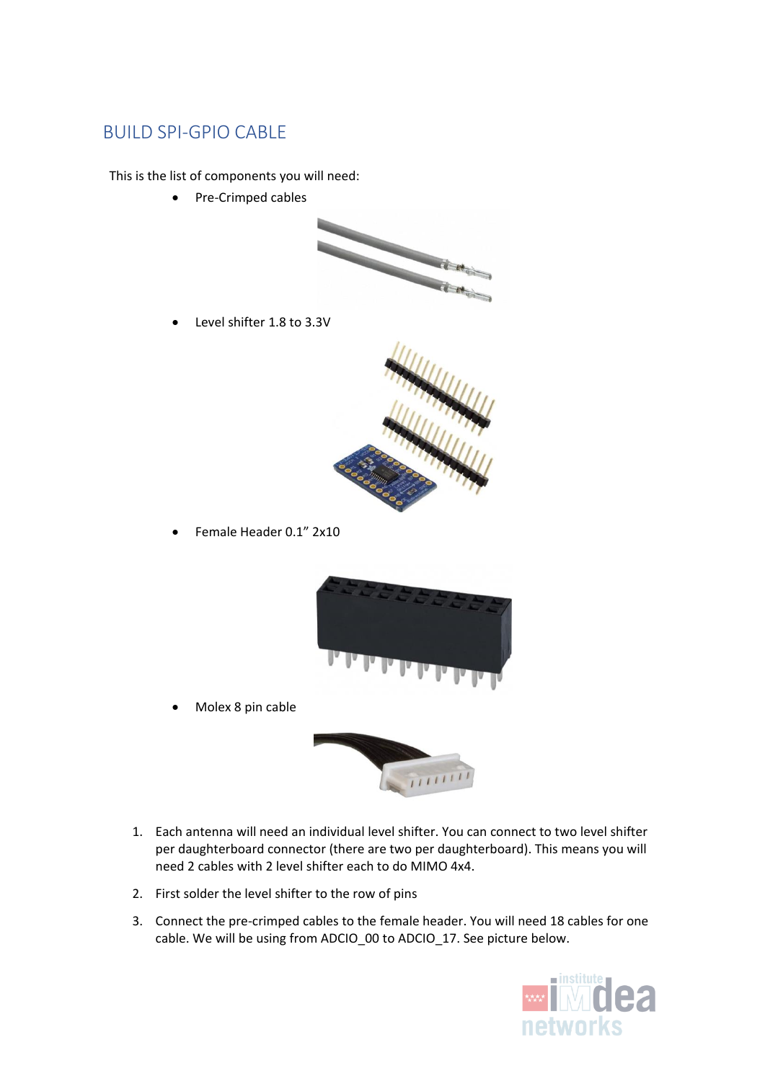### <span id="page-7-0"></span>BUILD SPI-GPIO CABLE

This is the list of components you will need:

• Pre-Crimped cables



• Level shifter 1.8 to 3.3V



• Female Header 0.1" 2x10



• Molex 8 pin cable



- 1. Each antenna will need an individual level shifter. You can connect to two level shifter per daughterboard connector (there are two per daughterboard). This means you will need 2 cables with 2 level shifter each to do MIMO 4x4.
- 2. First solder the level shifter to the row of pins
- 3. Connect the pre-crimped cables to the female header. You will need 18 cables for one cable. We will be using from ADCIO\_00 to ADCIO\_17. See picture below.

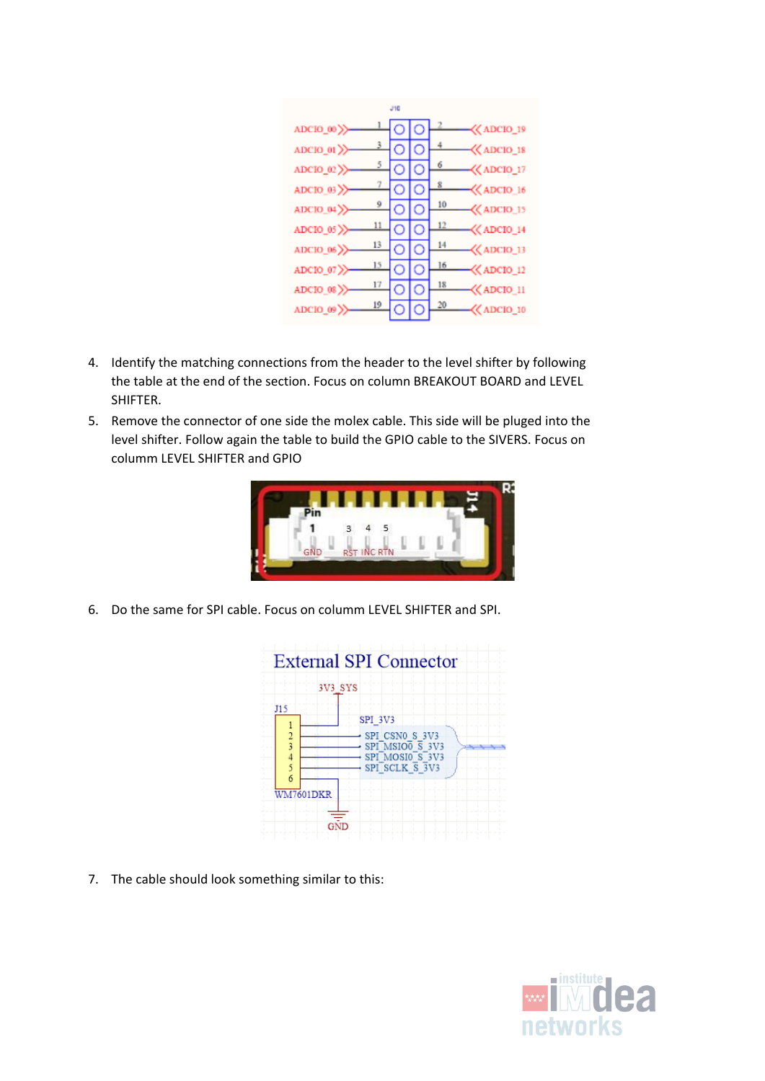

- 4. Identify the matching connections from the header to the level shifter by following the table at the end of the section. Focus on column BREAKOUT BOARD and LEVEL SHIFTER.
- 5. Remove the connector of one side the molex cable. This side will be pluged into the level shifter. Follow again the table to build the GPIO cable to the SIVERS. Focus on columm LEVEL SHIFTER and GPIO



6. Do the same for SPI cable. Focus on columm LEVEL SHIFTER and SPI.

|                                                                | <b>External SPI Connector</b>                                                     |
|----------------------------------------------------------------|-----------------------------------------------------------------------------------|
|                                                                | 3V3 SYS                                                                           |
| J15<br>$\overline{\overline{3}}$<br>5<br>6<br><b>WM7601DKR</b> | SPI 3V3<br>SPI CSNO S 3V3<br>SPI MSIO0 S 3V3<br>SPI MOSI0 S 3V3<br>SPI SCLK S 3V3 |
|                                                                |                                                                                   |

7. The cable should look something similar to this:

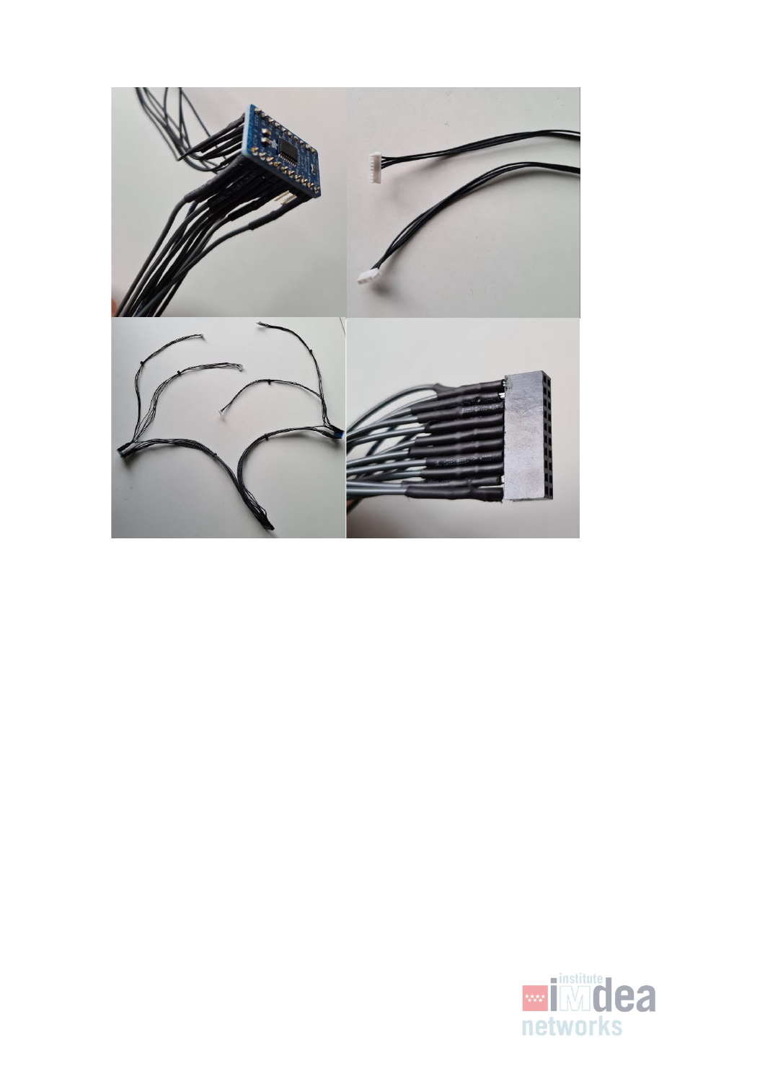